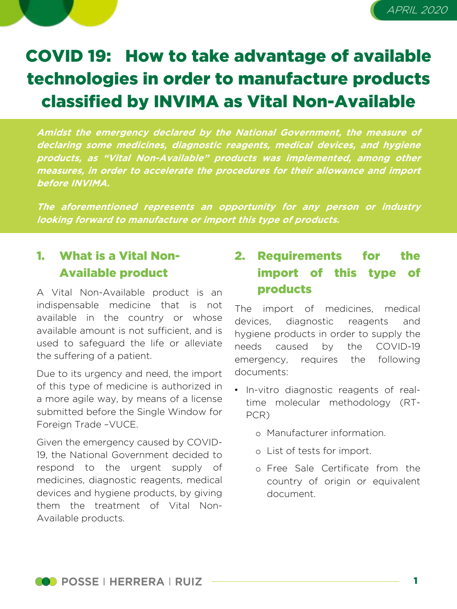



# COVID 19: How to take advantage of available technologies in order to manufacture products classified by INVIMA as Vital Non-Available

**Amidst the emergency declared by the National Government, the measure of declaring some medicines, diagnostic reagents, medical devices, and hygiene products, as "Vital Non-Available" products was implemented, among other measures, in order to accelerate the procedures for their allowance and import before INVIMA.**

**The aforementioned represents an opportunity for any person or industry looking forward to manufacture or import this type of products.**

## 1. What is a Vital Non-Available product

A Vital Non-Available product is an indispensable medicine that is not available in the country or whose available amount is not sufficient, and is used to safeguard the life or alleviate the suffering of a patient.

Due to its urgency and need, the import of this type of medicine is authorized in a more agile way, by means of a license submitted before the Single Window for Foreign Trade –VUCE.

Given the emergency caused by COVID-19, the National Government decided to respond to the urgent supply of medicines, diagnostic reagents, medical devices and hygiene products, by giving them the treatment of Vital Non-Available products.

# 2. Requirements for the import of this type of products

The import of medicines, medical devices, diagnostic reagents and hygiene products in order to supply the needs caused by the COVID-19 emergency, requires the following documents:

- In-vitro diagnostic reagents of realtime molecular methodology (RT-PCR)
	- o Manufacturer information.
	- o List of tests for import.
	- o Free Sale Certificate from the country of origin or equivalent document.